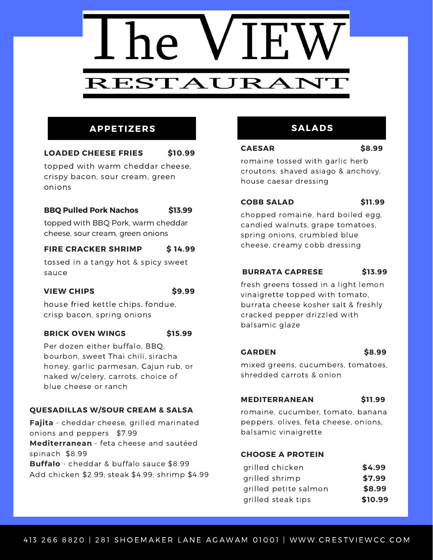

# **APPETIZERS**

# **LOADED CHEESE FRIES \$10.99**

topped with warm cheddar cheese, crispy bacon, sour cream, green onions

# **BBQ Pulled Pork Nachos \$13.99**

topped with BBQ Pork, warm cheddar cheese, sour cream, green onions

# **FIRE CRACKER SHRIMP \$ 14.99**

tossed in a tangy hot & spicy sweet sauce

# **VIEW CHIPS \$9.99**

house fried kettle chips, fondue, crisp bacon, spring onions

# **BRICK OVEN WINGS \$15.99**

Per dozen either buffalo, BBQ, bourbon, sweet Thai chili, siracha honey, garlic parmesan, Cajun rub, or naked w/celery, carrots, choice of blue cheese or ranch

# **QUESADILLAS W/SOUR CREAM & SALSA**

**Fajita** - cheddar cheese, grilled marinated onions and peppers \$7.99 **Mediterranean** - feta cheese and sautéed spinach \$8.99 **Buffalo** - cheddar & buffalo sauce \$8.99 Add chicken \$2.99; steak \$4.99; shrimp \$4.99

# **SALADS**

# **CAESAR \$8.99**

romaine tossed with garlic herb croutons, shaved asiago & anchovy, house caesar dressing

# **COBB SALAD \$11.99**

chopped romaine, hard boiled egg, candied walnuts, grape tomatoes, spring onions, crumbled blue cheese, creamy cobb dressing

# **BURRATA CAPRESE \$13.99**

fresh greens tossed in a light lemon vinaigrette topped with tomato, burrata cheese kosher salt & freshly cracked pepper drizzled with balsamic glaze

# **GARDEN \$8.99**

mixed greens, cucumbers, tomatoes, shredded carrots & onion

# **MEDITERRANEAN \$11.99**

romaine, cucumber, tomato, banana peppers, olives, feta cheese, onions, balsamic vinaigrette

# **CHOOSE A PROTEIN**

| grilled chicken       | \$4.99  |
|-----------------------|---------|
| grilled shrimp        | \$7.99  |
| grilled petite salmon | \$8.99  |
| grilled steak tips    | \$10.99 |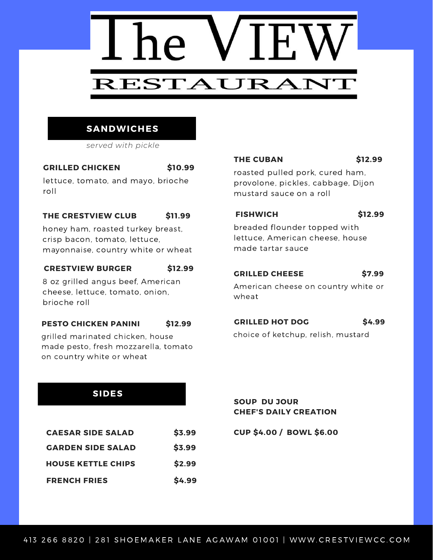

# **SANDWICHES**

*served with pickle*

# **GRILLED CHICKEN \$10.99**

lettuce, tomato, and mayo, brioche roll

# **THE CRESTVIEW CLUB \$11.99**

honey ham, roasted turkey breast, crisp bacon, tomato, lettuce, mayonnaise, country white or wheat

# **CRESTVIEW BURGER \$12.99**

8 oz grilled angus beef, American cheese, lettuce, tomato, onion, brioche roll

# **PESTO CHICKEN PANINI \$12.99**

grilled marinated chicken, house made pesto, fresh mozzarella, tomato on country white or wheat

# **THE CUBAN \$12.99**

roasted pulled pork, cured ham, provolone, pickles, cabbage, Dijon mustard sauce on a roll

# **FISHWICH \$12.99**

breaded flounder topped with lettuce, American cheese, house made tartar sauce

# **GRILLED CHEESE \$7.99**

American cheese on country white or wheat

# **GRILLED HOT DOG \$4.99**

choice of ketchup, relish, mustard

# **SIDES**

| <b>CAESAR SIDE SALAD</b>  | \$3.99 |
|---------------------------|--------|
| <b>GARDEN SIDE SALAD</b>  | \$3.99 |
| <b>HOUSE KETTLE CHIPS</b> | \$2.99 |
| <b>FRENCH FRIES</b>       | \$4.99 |

**SOUP DU JOUR CHEF'S DAILY CREATION**

**CUP \$4.00 / BOWL \$6.00**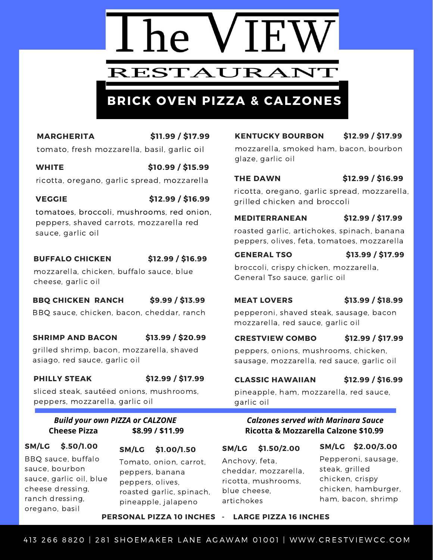# RESTAURANT

# **BRICK OVEN PIZZA & CALZONES**

**MARGHERITA \$11.99 / \$17.99** tomato, fresh mozzarella, basil, garlic oil

**WHITE \$10.99 / \$15.99** ricotta, oregano, garlic spread, mozzarella

# **VEGGIE \$12.99 / \$16.99**

tomatoes, broccoli, mushrooms, red onion, peppers, shaved carrots, mozzarella red sauce, garlic oil

# **BUFFALO CHICKEN \$12.99 / \$16.99**

mozzarella, chicken, buffalo sauce, blue

cheese, garlic oil

# **BBQ CHICKEN RANCH \$9.99 / \$13.99**

BBQ sauce, chicken, bacon, cheddar, ranch

# **SHRIMP AND BACON \$13.99 / \$20.99**

grilled shrimp, bacon, mozzarella, shaved asiago, red sauce, garlic oil

**PHILLY STEAK \$12.99 / \$17.99**

sliced steak, sautéed onions, mushrooms, peppers, mozzarella, garlic oil

# *Build your own PIZZA or CALZONE* **Cheese Pizza \$8.99 / \$11.99**

# **SM/LG \$.50/1.00** BBQ sauce, buffalo sauce, bourbon sauce, garlic oil, blue cheese dressing, ranch dressing, oregano, basil

**SM/LG \$1.00/1.50** Tomato, onion, carrot, peppers, banana peppers, olives, roasted garlic, spinach, pineapple, jalapeno

**KENTUCKY BOURBON \$12.99 / \$17.99**

mozzarella, smoked ham, bacon, bourbon glaze, garlic oil

# **THE DAWN \$12.99 / \$16.99**

ricotta, oregano, garlic spread, mozzarella, grilled chicken and broccoli

# **MEDITERRANEAN \$12.99 / \$17.99**

roasted garlic, artichokes, spinach, banana peppers, olives, feta, tomatoes, mozzarella

# **GENERAL TSO \$13.99 / \$17.99**

broccoli, crispy chicken, mozzarella, General Tso sauce, garlic oil

**MEAT LOVERS \$13.99 / \$18.99**

pepperoni, shaved steak, sausage, bacon mozzarella, red sauce, garlic oil

# **CRESTVIEW COMBO \$12.99 / \$17.99**

peppers, onions, mushrooms, chicken, sausage, mozzarella, red sauce, garlic oil

# **CLASSIC HAWAIIAN \$12.99 / \$16.99**

pineapple, ham, mozzarella, red sauce, garlic oil

# *Calzones served with Marinara Sauce* **Ricotta & Mozzarella Calzone \$10.99**

# **SM/LG \$1.50/2.00**

**SM/LG \$2.00/3.00**

Anchovy, feta, cheddar, mozzarella, ricotta, mushrooms, blue cheese, artichokes

Pepperoni, sausage, steak, grilled chicken, crispy chicken, hamburger, ham, bacon, shrimp

# **PERSONAL PIZZA 10 INCHES - LARGE PIZZA 16 INCHES**